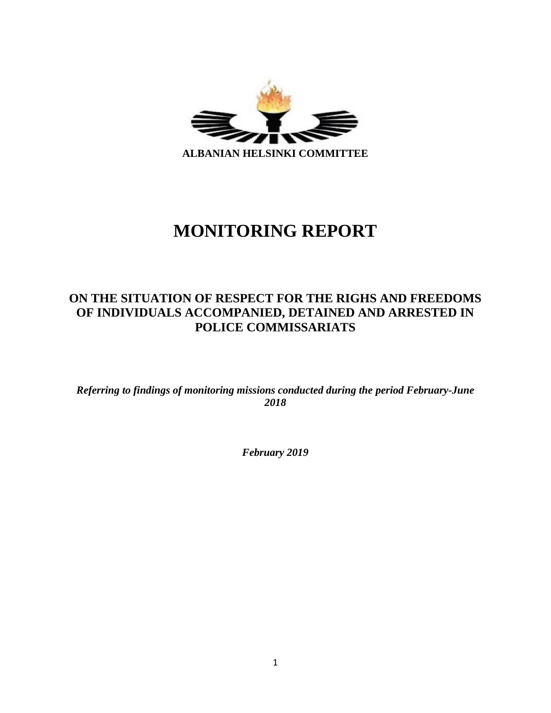

# **MONITORING REPORT**

# **ON THE SITUATION OF RESPECT FOR THE RIGHS AND FREEDOMS OF INDIVIDUALS ACCOMPANIED, DETAINED AND ARRESTED IN POLICE COMMISSARIATS**

*Referring to findings of monitoring missions conducted during the period February-June 2018*

*February 2019*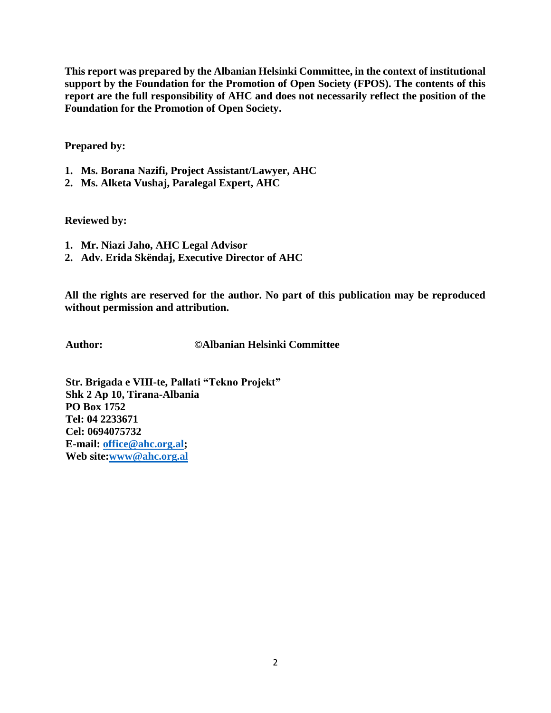**This report was prepared by the Albanian Helsinki Committee, in the context of institutional support by the Foundation for the Promotion of Open Society (FPOS). The contents of this report are the full responsibility of AHC and does not necessarily reflect the position of the Foundation for the Promotion of Open Society.**

**Prepared by:**

- **1. Ms. Borana Nazifi, Project Assistant/Lawyer, AHC**
- **2. Ms. Alketa Vushaj, Paralegal Expert, AHC**

**Reviewed by:**

- **1. Mr. Niazi Jaho, AHC Legal Advisor**
- **2. Adv. Erida Skëndaj, Executive Director of AHC**

**All the rights are reserved for the author. No part of this publication may be reproduced without permission and attribution.**

**Author: ©Albanian Helsinki Committee**

**Str. Brigada e VIII-te, Pallati "Tekno Projekt" Shk 2 Ap 10, Tirana-Albania PO Box 1752 Tel: 04 2233671 Cel: 0694075732 E-mail: [office@ahc.org.al;](mailto:office@ahc.org.al) Web site[:www@ahc.org.al](mailto:www@ahc.org.al)**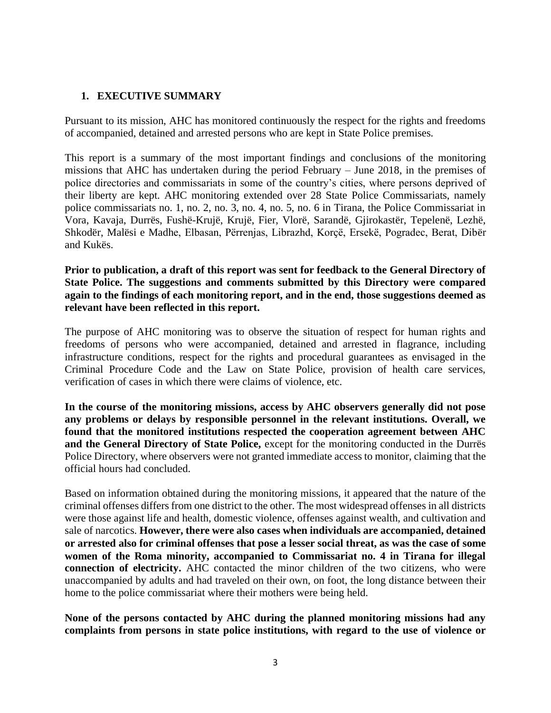#### **1. EXECUTIVE SUMMARY**

Pursuant to its mission, AHC has monitored continuously the respect for the rights and freedoms of accompanied, detained and arrested persons who are kept in State Police premises.

This report is a summary of the most important findings and conclusions of the monitoring missions that AHC has undertaken during the period February – June 2018, in the premises of police directories and commissariats in some of the country's cities, where persons deprived of their liberty are kept. AHC monitoring extended over 28 State Police Commissariats, namely police commissariats no. 1, no. 2, no. 3, no. 4, no. 5, no. 6 in Tirana, the Police Commissariat in Vora, Kavaja, Durrës, Fushë-Krujë, Krujë, Fier, Vlorë, Sarandë, Gjirokastër, Tepelenë, Lezhë, Shkodër, Malësi e Madhe, Elbasan, Përrenjas, Librazhd, Korçë, Ersekë, Pogradec, Berat, Dibër and Kukës.

#### **Prior to publication, a draft of this report was sent for feedback to the General Directory of State Police. The suggestions and comments submitted by this Directory were compared again to the findings of each monitoring report, and in the end, those suggestions deemed as relevant have been reflected in this report.**

The purpose of AHC monitoring was to observe the situation of respect for human rights and freedoms of persons who were accompanied, detained and arrested in flagrance, including infrastructure conditions, respect for the rights and procedural guarantees as envisaged in the Criminal Procedure Code and the Law on State Police, provision of health care services, verification of cases in which there were claims of violence, etc.

**In the course of the monitoring missions, access by AHC observers generally did not pose any problems or delays by responsible personnel in the relevant institutions. Overall, we found that the monitored institutions respected the cooperation agreement between AHC and the General Directory of State Police,** except for the monitoring conducted in the Durrës Police Directory, where observers were not granted immediate access to monitor, claiming that the official hours had concluded.

Based on information obtained during the monitoring missions, it appeared that the nature of the criminal offenses differs from one district to the other. The most widespread offenses in all districts were those against life and health, domestic violence, offenses against wealth, and cultivation and sale of narcotics. **However, there were also cases when individuals are accompanied, detained or arrested also for criminal offenses that pose a lesser social threat, as was the case of some women of the Roma minority, accompanied to Commissariat no. 4 in Tirana for illegal connection of electricity.** AHC contacted the minor children of the two citizens, who were unaccompanied by adults and had traveled on their own, on foot, the long distance between their home to the police commissariat where their mothers were being held.

**None of the persons contacted by AHC during the planned monitoring missions had any complaints from persons in state police institutions, with regard to the use of violence or**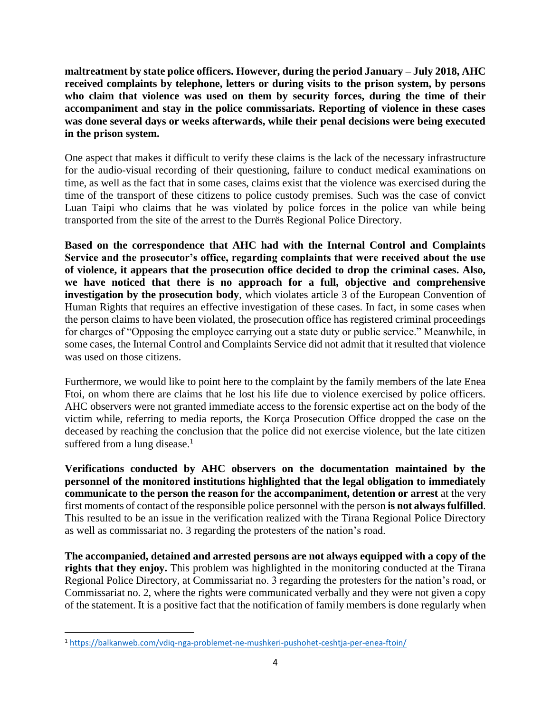**maltreatment by state police officers. However, during the period January – July 2018, AHC received complaints by telephone, letters or during visits to the prison system, by persons who claim that violence was used on them by security forces, during the time of their accompaniment and stay in the police commissariats. Reporting of violence in these cases was done several days or weeks afterwards, while their penal decisions were being executed in the prison system.**

One aspect that makes it difficult to verify these claims is the lack of the necessary infrastructure for the audio-visual recording of their questioning, failure to conduct medical examinations on time, as well as the fact that in some cases, claims exist that the violence was exercised during the time of the transport of these citizens to police custody premises. Such was the case of convict Luan Taipi who claims that he was violated by police forces in the police van while being transported from the site of the arrest to the Durrës Regional Police Directory.

**Based on the correspondence that AHC had with the Internal Control and Complaints Service and the prosecutor's office, regarding complaints that were received about the use of violence, it appears that the prosecution office decided to drop the criminal cases. Also, we have noticed that there is no approach for a full, objective and comprehensive investigation by the prosecution body**, which violates article 3 of the European Convention of Human Rights that requires an effective investigation of these cases. In fact, in some cases when the person claims to have been violated, the prosecution office has registered criminal proceedings for charges of "Opposing the employee carrying out a state duty or public service." Meanwhile, in some cases, the Internal Control and Complaints Service did not admit that it resulted that violence was used on those citizens.

Furthermore, we would like to point here to the complaint by the family members of the late Enea Ftoi, on whom there are claims that he lost his life due to violence exercised by police officers. AHC observers were not granted immediate access to the forensic expertise act on the body of the victim while, referring to media reports, the Korça Prosecution Office dropped the case on the deceased by reaching the conclusion that the police did not exercise violence, but the late citizen suffered from a lung disease. $<sup>1</sup>$ </sup>

**Verifications conducted by AHC observers on the documentation maintained by the personnel of the monitored institutions highlighted that the legal obligation to immediately communicate to the person the reason for the accompaniment, detention or arrest** at the very first moments of contact of the responsible police personnel with the person **is not always fulfilled**. This resulted to be an issue in the verification realized with the Tirana Regional Police Directory as well as commissariat no. 3 regarding the protesters of the nation's road.

**The accompanied, detained and arrested persons are not always equipped with a copy of the rights that they enjoy.** This problem was highlighted in the monitoring conducted at the Tirana Regional Police Directory, at Commissariat no. 3 regarding the protesters for the nation's road, or Commissariat no. 2, where the rights were communicated verbally and they were not given a copy of the statement. It is a positive fact that the notification of family members is done regularly when

 $\overline{\phantom{a}}$ 

<sup>1</sup> <https://balkanweb.com/vdiq-nga-problemet-ne-mushkeri-pushohet-ceshtja-per-enea-ftoin/>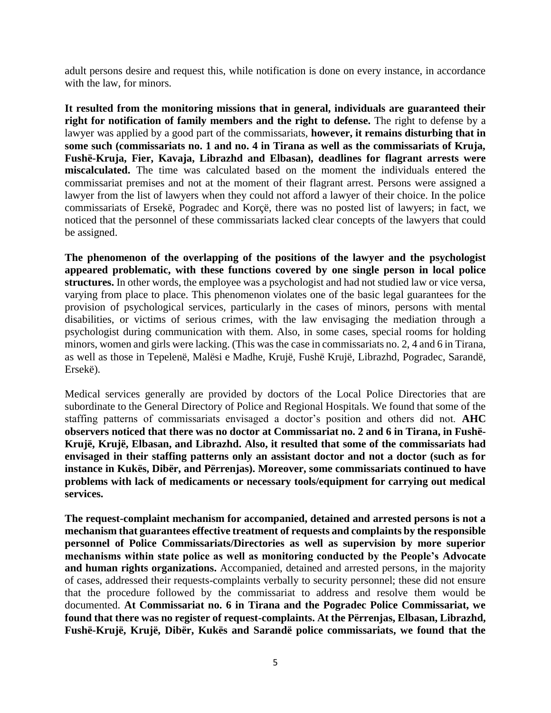adult persons desire and request this, while notification is done on every instance, in accordance with the law, for minors.

**It resulted from the monitoring missions that in general, individuals are guaranteed their right for notification of family members and the right to defense.** The right to defense by a lawyer was applied by a good part of the commissariats, **however, it remains disturbing that in some such (commissariats no. 1 and no. 4 in Tirana as well as the commissariats of Kruja, Fushë-Kruja, Fier, Kavaja, Librazhd and Elbasan), deadlines for flagrant arrests were miscalculated.** The time was calculated based on the moment the individuals entered the commissariat premises and not at the moment of their flagrant arrest. Persons were assigned a lawyer from the list of lawyers when they could not afford a lawyer of their choice. In the police commissariats of Ersekë, Pogradec and Korçë, there was no posted list of lawyers; in fact, we noticed that the personnel of these commissariats lacked clear concepts of the lawyers that could be assigned.

**The phenomenon of the overlapping of the positions of the lawyer and the psychologist appeared problematic, with these functions covered by one single person in local police**  structures. In other words, the employee was a psychologist and had not studied law or vice versa, varying from place to place. This phenomenon violates one of the basic legal guarantees for the provision of psychological services, particularly in the cases of minors, persons with mental disabilities, or victims of serious crimes, with the law envisaging the mediation through a psychologist during communication with them. Also, in some cases, special rooms for holding minors, women and girls were lacking. (This was the case in commissariats no. 2, 4 and 6 in Tirana, as well as those in Tepelenë, Malësi e Madhe, Krujë, Fushë Krujë, Librazhd, Pogradec, Sarandë, Ersekë).

Medical services generally are provided by doctors of the Local Police Directories that are subordinate to the General Directory of Police and Regional Hospitals. We found that some of the staffing patterns of commissariats envisaged a doctor's position and others did not. **AHC observers noticed that there was no doctor at Commissariat no. 2 and 6 in Tirana, in Fushë-Krujë, Krujë, Elbasan, and Librazhd. Also, it resulted that some of the commissariats had envisaged in their staffing patterns only an assistant doctor and not a doctor (such as for instance in Kukës, Dibër, and Përrenjas). Moreover, some commissariats continued to have problems with lack of medicaments or necessary tools/equipment for carrying out medical services.**

**The request-complaint mechanism for accompanied, detained and arrested persons is not a mechanism that guarantees effective treatment of requests and complaints by the responsible personnel of Police Commissariats/Directories as well as supervision by more superior mechanisms within state police as well as monitoring conducted by the People's Advocate and human rights organizations.** Accompanied, detained and arrested persons, in the majority of cases, addressed their requests-complaints verbally to security personnel; these did not ensure that the procedure followed by the commissariat to address and resolve them would be documented. **At Commissariat no. 6 in Tirana and the Pogradec Police Commissariat, we found that there was no register of request-complaints. At the Përrenjas, Elbasan, Librazhd, Fushë-Krujë, Krujë, Dibër, Kukës and Sarandë police commissariats, we found that the**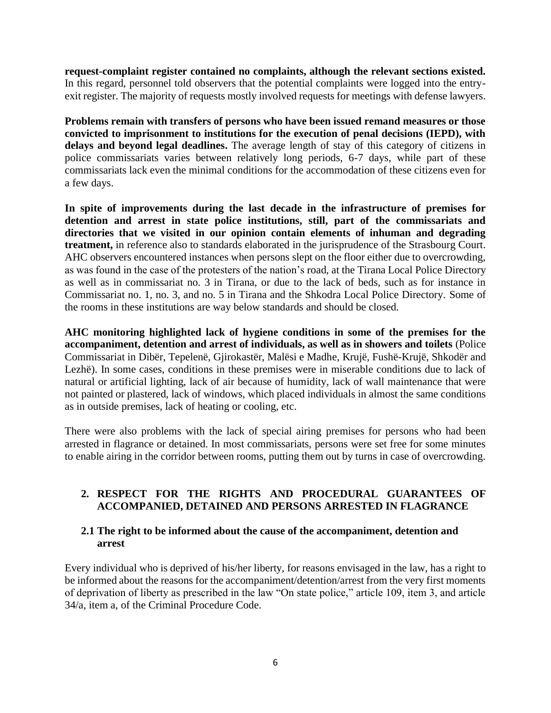**request-complaint register contained no complaints, although the relevant sections existed.**  In this regard, personnel told observers that the potential complaints were logged into the entryexit register. The majority of requests mostly involved requests for meetings with defense lawyers.

**Problems remain with transfers of persons who have been issued remand measures or those convicted to imprisonment to institutions for the execution of penal decisions (IEPD), with delays and beyond legal deadlines.** The average length of stay of this category of citizens in police commissariats varies between relatively long periods, 6-7 days, while part of these commissariats lack even the minimal conditions for the accommodation of these citizens even for a few days.

**In spite of improvements during the last decade in the infrastructure of premises for detention and arrest in state police institutions, still, part of the commissariats and directories that we visited in our opinion contain elements of inhuman and degrading treatment,** in reference also to standards elaborated in the jurisprudence of the Strasbourg Court. AHC observers encountered instances when persons slept on the floor either due to overcrowding, as was found in the case of the protesters of the nation's road, at the Tirana Local Police Directory as well as in commissariat no. 3 in Tirana, or due to the lack of beds, such as for instance in Commissariat no. 1, no. 3, and no. 5 in Tirana and the Shkodra Local Police Directory. Some of the rooms in these institutions are way below standards and should be closed.

**AHC monitoring highlighted lack of hygiene conditions in some of the premises for the accompaniment, detention and arrest of individuals, as well as in showers and toilets** (Police Commissariat in Dibër, Tepelenë, Gjirokastër, Malësi e Madhe, Krujë, Fushë-Krujë, Shkodër and Lezhë). In some cases, conditions in these premises were in miserable conditions due to lack of natural or artificial lighting, lack of air because of humidity, lack of wall maintenance that were not painted or plastered, lack of windows, which placed individuals in almost the same conditions as in outside premises, lack of heating or cooling, etc.

There were also problems with the lack of special airing premises for persons who had been arrested in flagrance or detained. In most commissariats, persons were set free for some minutes to enable airing in the corridor between rooms, putting them out by turns in case of overcrowding.

#### **2. RESPECT FOR THE RIGHTS AND PROCEDURAL GUARANTEES OF ACCOMPANIED, DETAINED AND PERSONS ARRESTED IN FLAGRANCE**

#### **2.1 The right to be informed about the cause of the accompaniment, detention and arrest**

Every individual who is deprived of his/her liberty, for reasons envisaged in the law, has a right to be informed about the reasons for the accompaniment/detention/arrest from the very first moments of deprivation of liberty as prescribed in the law "On state police," article 109, item 3, and article 34/a, item a, of the Criminal Procedure Code.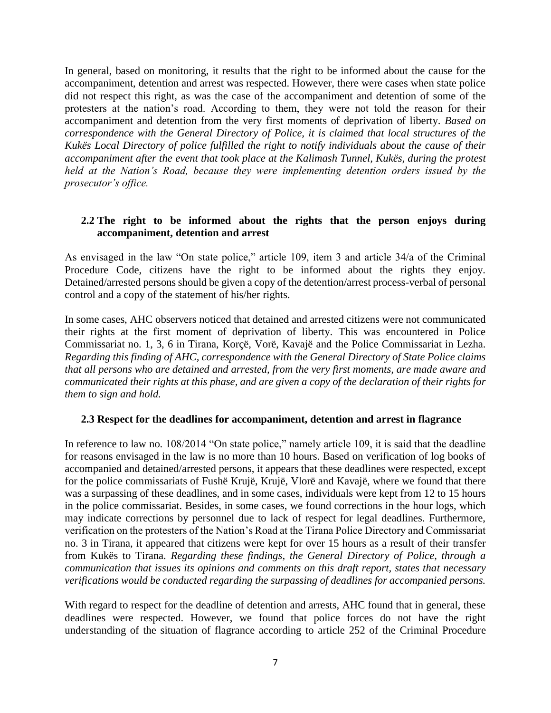In general, based on monitoring, it results that the right to be informed about the cause for the accompaniment, detention and arrest was respected. However, there were cases when state police did not respect this right, as was the case of the accompaniment and detention of some of the protesters at the nation's road. According to them, they were not told the reason for their accompaniment and detention from the very first moments of deprivation of liberty. *Based on correspondence with the General Directory of Police, it is claimed that local structures of the Kukës Local Directory of police fulfilled the right to notify individuals about the cause of their accompaniment after the event that took place at the Kalimash Tunnel, Kukës, during the protest held at the Nation's Road, because they were implementing detention orders issued by the prosecutor's office.*

#### **2.2 The right to be informed about the rights that the person enjoys during accompaniment, detention and arrest**

As envisaged in the law "On state police," article 109, item 3 and article 34/a of the Criminal Procedure Code, citizens have the right to be informed about the rights they enjoy. Detained/arrested persons should be given a copy of the detention/arrest process-verbal of personal control and a copy of the statement of his/her rights.

In some cases, AHC observers noticed that detained and arrested citizens were not communicated their rights at the first moment of deprivation of liberty. This was encountered in Police Commissariat no. 1, 3, 6 in Tirana, Korçë, Vorë, Kavajë and the Police Commissariat in Lezha. *Regarding this finding of AHC, correspondence with the General Directory of State Police claims that all persons who are detained and arrested, from the very first moments, are made aware and communicated their rights at this phase, and are given a copy of the declaration of their rights for them to sign and hold.*

#### **2.3 Respect for the deadlines for accompaniment, detention and arrest in flagrance**

In reference to law no. 108/2014 "On state police," namely article 109, it is said that the deadline for reasons envisaged in the law is no more than 10 hours. Based on verification of log books of accompanied and detained/arrested persons, it appears that these deadlines were respected, except for the police commissariats of Fushë Krujë, Krujë, Vlorë and Kavajë, where we found that there was a surpassing of these deadlines, and in some cases, individuals were kept from 12 to 15 hours in the police commissariat. Besides, in some cases, we found corrections in the hour logs, which may indicate corrections by personnel due to lack of respect for legal deadlines. Furthermore, verification on the protesters of the Nation's Road at the Tirana Police Directory and Commissariat no. 3 in Tirana, it appeared that citizens were kept for over 15 hours as a result of their transfer from Kukës to Tirana. *Regarding these findings, the General Directory of Police, through a communication that issues its opinions and comments on this draft report, states that necessary verifications would be conducted regarding the surpassing of deadlines for accompanied persons.*

With regard to respect for the deadline of detention and arrests, AHC found that in general, these deadlines were respected. However, we found that police forces do not have the right understanding of the situation of flagrance according to article 252 of the Criminal Procedure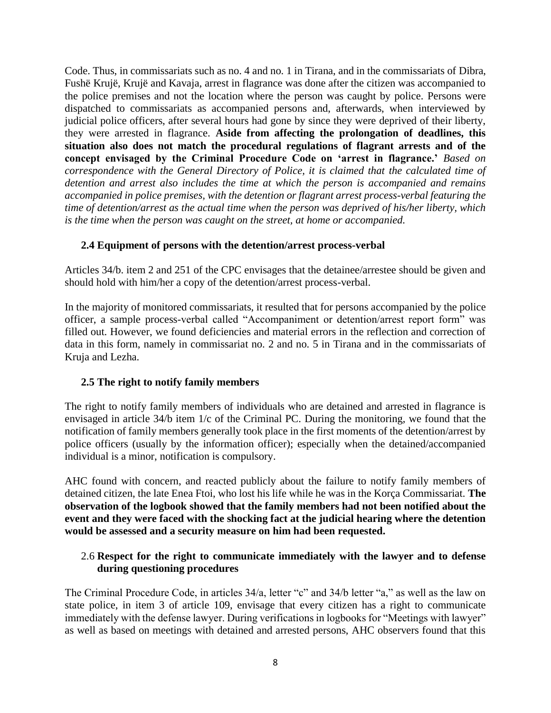Code. Thus, in commissariats such as no. 4 and no. 1 in Tirana, and in the commissariats of Dibra, Fushë Krujë, Krujë and Kavaja, arrest in flagrance was done after the citizen was accompanied to the police premises and not the location where the person was caught by police. Persons were dispatched to commissariats as accompanied persons and, afterwards, when interviewed by judicial police officers, after several hours had gone by since they were deprived of their liberty, they were arrested in flagrance. **Aside from affecting the prolongation of deadlines, this situation also does not match the procedural regulations of flagrant arrests and of the concept envisaged by the Criminal Procedure Code on 'arrest in flagrance.'** *Based on correspondence with the General Directory of Police, it is claimed that the calculated time of detention and arrest also includes the time at which the person is accompanied and remains accompanied in police premises, with the detention or flagrant arrest process-verbal featuring the time of detention/arrest as the actual time when the person was deprived of his/her liberty, which is the time when the person was caught on the street, at home or accompanied.*

#### **2.4 Equipment of persons with the detention/arrest process-verbal**

Articles 34/b. item 2 and 251 of the CPC envisages that the detainee/arrestee should be given and should hold with him/her a copy of the detention/arrest process-verbal.

In the majority of monitored commissariats, it resulted that for persons accompanied by the police officer, a sample process-verbal called "Accompaniment or detention/arrest report form" was filled out. However, we found deficiencies and material errors in the reflection and correction of data in this form, namely in commissariat no. 2 and no. 5 in Tirana and in the commissariats of Kruja and Lezha.

#### **2.5 The right to notify family members**

The right to notify family members of individuals who are detained and arrested in flagrance is envisaged in article 34/b item 1/c of the Criminal PC. During the monitoring, we found that the notification of family members generally took place in the first moments of the detention/arrest by police officers (usually by the information officer); especially when the detained/accompanied individual is a minor, notification is compulsory.

AHC found with concern, and reacted publicly about the failure to notify family members of detained citizen, the late Enea Ftoi, who lost his life while he was in the Korça Commissariat. **The observation of the logbook showed that the family members had not been notified about the event and they were faced with the shocking fact at the judicial hearing where the detention would be assessed and a security measure on him had been requested.**

#### 2.6 **Respect for the right to communicate immediately with the lawyer and to defense during questioning procedures**

The Criminal Procedure Code, in articles 34/a, letter "c" and 34/b letter "a," as well as the law on state police, in item 3 of article 109, envisage that every citizen has a right to communicate immediately with the defense lawyer. During verifications in logbooks for "Meetings with lawyer" as well as based on meetings with detained and arrested persons, AHC observers found that this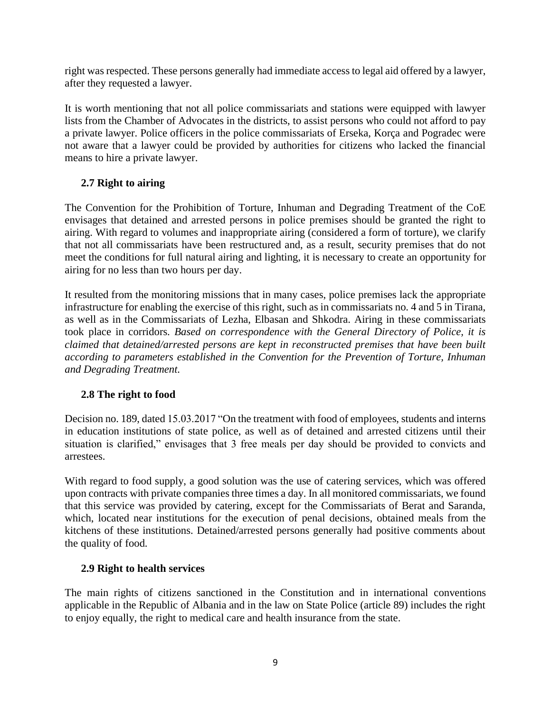right was respected. These persons generally had immediate access to legal aid offered by a lawyer, after they requested a lawyer.

It is worth mentioning that not all police commissariats and stations were equipped with lawyer lists from the Chamber of Advocates in the districts, to assist persons who could not afford to pay a private lawyer. Police officers in the police commissariats of Erseka, Korça and Pogradec were not aware that a lawyer could be provided by authorities for citizens who lacked the financial means to hire a private lawyer.

# **2.7 Right to airing**

The Convention for the Prohibition of Torture, Inhuman and Degrading Treatment of the CoE envisages that detained and arrested persons in police premises should be granted the right to airing. With regard to volumes and inappropriate airing (considered a form of torture), we clarify that not all commissariats have been restructured and, as a result, security premises that do not meet the conditions for full natural airing and lighting, it is necessary to create an opportunity for airing for no less than two hours per day.

It resulted from the monitoring missions that in many cases, police premises lack the appropriate infrastructure for enabling the exercise of this right, such as in commissariats no. 4 and 5 in Tirana, as well as in the Commissariats of Lezha, Elbasan and Shkodra. Airing in these commissariats took place in corridors. *Based on correspondence with the General Directory of Police, it is claimed that detained/arrested persons are kept in reconstructed premises that have been built according to parameters established in the Convention for the Prevention of Torture, Inhuman and Degrading Treatment.*

# **2.8 The right to food**

Decision no. 189, dated 15.03.2017 "On the treatment with food of employees, students and interns in education institutions of state police, as well as of detained and arrested citizens until their situation is clarified," envisages that 3 free meals per day should be provided to convicts and arrestees.

With regard to food supply, a good solution was the use of catering services, which was offered upon contracts with private companies three times a day. In all monitored commissariats, we found that this service was provided by catering, except for the Commissariats of Berat and Saranda, which, located near institutions for the execution of penal decisions, obtained meals from the kitchens of these institutions. Detained/arrested persons generally had positive comments about the quality of food.

# **2.9 Right to health services**

The main rights of citizens sanctioned in the Constitution and in international conventions applicable in the Republic of Albania and in the law on State Police (article 89) includes the right to enjoy equally, the right to medical care and health insurance from the state.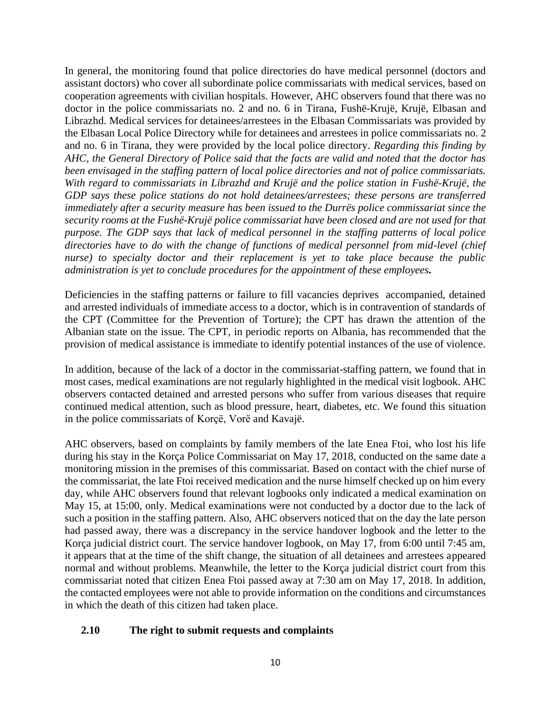In general, the monitoring found that police directories do have medical personnel (doctors and assistant doctors) who cover all subordinate police commissariats with medical services, based on cooperation agreements with civilian hospitals. However, AHC observers found that there was no doctor in the police commissariats no. 2 and no. 6 in Tirana, Fushë-Krujë, Krujë, Elbasan and Librazhd. Medical services for detainees/arrestees in the Elbasan Commissariats was provided by the Elbasan Local Police Directory while for detainees and arrestees in police commissariats no. 2 and no. 6 in Tirana, they were provided by the local police directory. *Regarding this finding by AHC, the General Directory of Police said that the facts are valid and noted that the doctor has been envisaged in the staffing pattern of local police directories and not of police commissariats. With regard to commissariats in Librazhd and Krujë and the police station in Fushë-Krujë, the GDP says these police stations do not hold detainees/arrestees; these persons are transferred immediately after a security measure has been issued to the Durrës police commissariat since the security rooms at the Fushë-Krujë police commissariat have been closed and are not used for that purpose. The GDP says that lack of medical personnel in the staffing patterns of local police directories have to do with the change of functions of medical personnel from mid-level (chief nurse) to specialty doctor and their replacement is yet to take place because the public administration is yet to conclude procedures for the appointment of these employees.*

Deficiencies in the staffing patterns or failure to fill vacancies deprives accompanied, detained and arrested individuals of immediate access to a doctor, which is in contravention of standards of the CPT (Committee for the Prevention of Torture); the CPT has drawn the attention of the Albanian state on the issue. The CPT, in periodic reports on Albania, has recommended that the provision of medical assistance is immediate to identify potential instances of the use of violence.

In addition, because of the lack of a doctor in the commissariat-staffing pattern, we found that in most cases, medical examinations are not regularly highlighted in the medical visit logbook. AHC observers contacted detained and arrested persons who suffer from various diseases that require continued medical attention, such as blood pressure, heart, diabetes, etc. We found this situation in the police commissariats of Korҫë, Vorë and Kavajë.

AHC observers, based on complaints by family members of the late Enea Ftoi, who lost his life during his stay in the Korça Police Commissariat on May 17, 2018, conducted on the same date a monitoring mission in the premises of this commissariat. Based on contact with the chief nurse of the commissariat, the late Ftoi received medication and the nurse himself checked up on him every day, while AHC observers found that relevant logbooks only indicated a medical examination on May 15, at 15:00, only. Medical examinations were not conducted by a doctor due to the lack of such a position in the staffing pattern. Also, AHC observers noticed that on the day the late person had passed away, there was a discrepancy in the service handover logbook and the letter to the Korça judicial district court. The service handover logbook, on May 17, from 6:00 until 7:45 am, it appears that at the time of the shift change, the situation of all detainees and arrestees appeared normal and without problems. Meanwhile, the letter to the Korça judicial district court from this commissariat noted that citizen Enea Ftoi passed away at 7:30 am on May 17, 2018. In addition, the contacted employees were not able to provide information on the conditions and circumstances in which the death of this citizen had taken place.

# **2.10 The right to submit requests and complaints**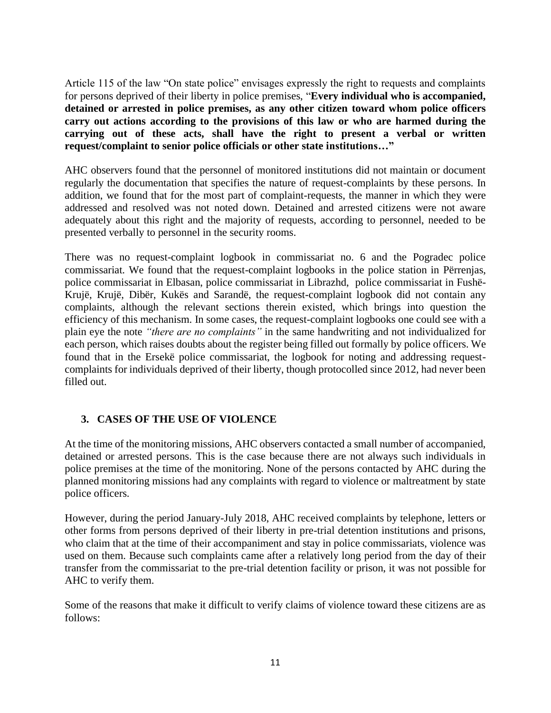Article 115 of the law "On state police" envisages expressly the right to requests and complaints for persons deprived of their liberty in police premises, "**Every individual who is accompanied, detained or arrested in police premises, as any other citizen toward whom police officers carry out actions according to the provisions of this law or who are harmed during the carrying out of these acts, shall have the right to present a verbal or written request/complaint to senior police officials or other state institutions…"**

AHC observers found that the personnel of monitored institutions did not maintain or document regularly the documentation that specifies the nature of request-complaints by these persons. In addition, we found that for the most part of complaint-requests, the manner in which they were addressed and resolved was not noted down. Detained and arrested citizens were not aware adequately about this right and the majority of requests, according to personnel, needed to be presented verbally to personnel in the security rooms.

There was no request-complaint logbook in commissariat no. 6 and the Pogradec police commissariat. We found that the request-complaint logbooks in the police station in Përrenjas, police commissariat in Elbasan, police commissariat in Librazhd, police commissariat in Fushë-Krujë, Krujë, Dibër, Kukës and Sarandë, the request-complaint logbook did not contain any complaints, although the relevant sections therein existed, which brings into question the efficiency of this mechanism. In some cases, the request-complaint logbooks one could see with a plain eye the note *"there are no complaints"* in the same handwriting and not individualized for each person, which raises doubts about the register being filled out formally by police officers. We found that in the Ersekë police commissariat, the logbook for noting and addressing requestcomplaints for individuals deprived of their liberty, though protocolled since 2012, had never been filled out.

# **3. CASES OF THE USE OF VIOLENCE**

At the time of the monitoring missions, AHC observers contacted a small number of accompanied, detained or arrested persons. This is the case because there are not always such individuals in police premises at the time of the monitoring. None of the persons contacted by AHC during the planned monitoring missions had any complaints with regard to violence or maltreatment by state police officers.

However, during the period January-July 2018, AHC received complaints by telephone, letters or other forms from persons deprived of their liberty in pre-trial detention institutions and prisons, who claim that at the time of their accompaniment and stay in police commissariats, violence was used on them. Because such complaints came after a relatively long period from the day of their transfer from the commissariat to the pre-trial detention facility or prison, it was not possible for AHC to verify them.

Some of the reasons that make it difficult to verify claims of violence toward these citizens are as follows: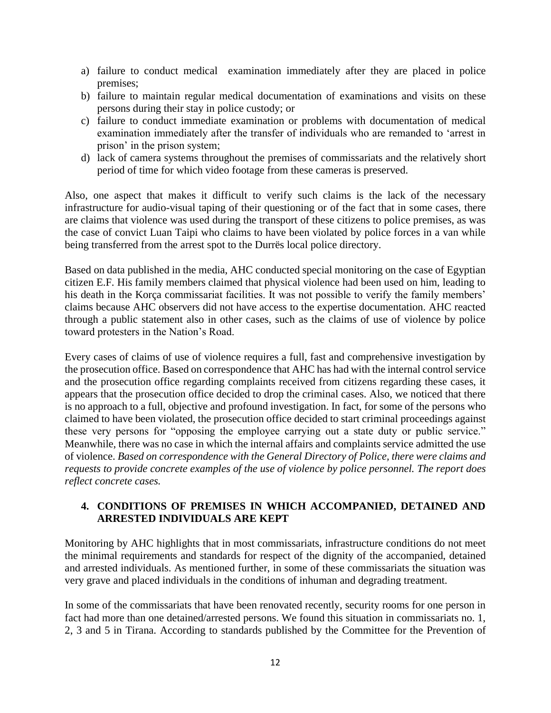- a) failure to conduct medical examination immediately after they are placed in police premises;
- b) failure to maintain regular medical documentation of examinations and visits on these persons during their stay in police custody; or
- c) failure to conduct immediate examination or problems with documentation of medical examination immediately after the transfer of individuals who are remanded to 'arrest in prison' in the prison system;
- d) lack of camera systems throughout the premises of commissariats and the relatively short period of time for which video footage from these cameras is preserved.

Also, one aspect that makes it difficult to verify such claims is the lack of the necessary infrastructure for audio-visual taping of their questioning or of the fact that in some cases, there are claims that violence was used during the transport of these citizens to police premises, as was the case of convict Luan Taipi who claims to have been violated by police forces in a van while being transferred from the arrest spot to the Durrës local police directory.

Based on data published in the media, AHC conducted special monitoring on the case of Egyptian citizen E.F. His family members claimed that physical violence had been used on him, leading to his death in the Korça commissariat facilities. It was not possible to verify the family members' claims because AHC observers did not have access to the expertise documentation. AHC reacted through a public statement also in other cases, such as the claims of use of violence by police toward protesters in the Nation's Road.

Every cases of claims of use of violence requires a full, fast and comprehensive investigation by the prosecution office. Based on correspondence that AHC has had with the internal control service and the prosecution office regarding complaints received from citizens regarding these cases, it appears that the prosecution office decided to drop the criminal cases. Also, we noticed that there is no approach to a full, objective and profound investigation. In fact, for some of the persons who claimed to have been violated, the prosecution office decided to start criminal proceedings against these very persons for "opposing the employee carrying out a state duty or public service." Meanwhile, there was no case in which the internal affairs and complaints service admitted the use of violence. *Based on correspondence with the General Directory of Police, there were claims and requests to provide concrete examples of the use of violence by police personnel. The report does reflect concrete cases.*

# **4. CONDITIONS OF PREMISES IN WHICH ACCOMPANIED, DETAINED AND ARRESTED INDIVIDUALS ARE KEPT**

Monitoring by AHC highlights that in most commissariats, infrastructure conditions do not meet the minimal requirements and standards for respect of the dignity of the accompanied, detained and arrested individuals. As mentioned further, in some of these commissariats the situation was very grave and placed individuals in the conditions of inhuman and degrading treatment.

In some of the commissariats that have been renovated recently, security rooms for one person in fact had more than one detained/arrested persons. We found this situation in commissariats no. 1, 2, 3 and 5 in Tirana. According to standards published by the Committee for the Prevention of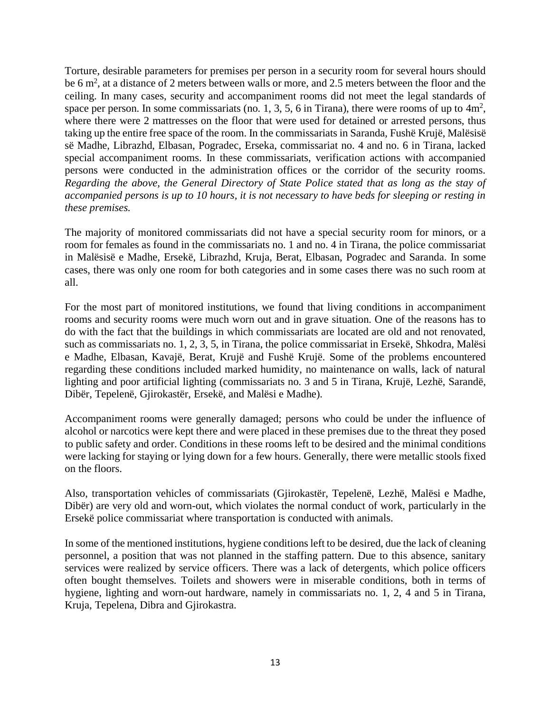Torture, desirable parameters for premises per person in a security room for several hours should be 6 m<sup>2</sup>, at a distance of 2 meters between walls or more, and 2.5 meters between the floor and the ceiling. In many cases, security and accompaniment rooms did not meet the legal standards of space per person. In some commissariats (no. 1, 3, 5, 6 in Tirana), there were rooms of up to  $4m^2$ , where there were 2 mattresses on the floor that were used for detained or arrested persons, thus taking up the entire free space of the room. In the commissariats in Saranda, Fushë Krujë, Malësisë së Madhe, Librazhd, Elbasan, Pogradec, Erseka, commissariat no. 4 and no. 6 in Tirana, lacked special accompaniment rooms. In these commissariats, verification actions with accompanied persons were conducted in the administration offices or the corridor of the security rooms. *Regarding the above, the General Directory of State Police stated that as long as the stay of accompanied persons is up to 10 hours, it is not necessary to have beds for sleeping or resting in these premises.*

The majority of monitored commissariats did not have a special security room for minors, or a room for females as found in the commissariats no. 1 and no. 4 in Tirana, the police commissariat in Malësisë e Madhe, Ersekë, Librazhd, Kruja, Berat, Elbasan, Pogradec and Saranda. In some cases, there was only one room for both categories and in some cases there was no such room at all.

For the most part of monitored institutions, we found that living conditions in accompaniment rooms and security rooms were much worn out and in grave situation. One of the reasons has to do with the fact that the buildings in which commissariats are located are old and not renovated, such as commissariats no. 1, 2, 3, 5, in Tirana, the police commissariat in Ersekë, Shkodra, Malësi e Madhe, Elbasan, Kavajë, Berat, Krujë and Fushë Krujë. Some of the problems encountered regarding these conditions included marked humidity, no maintenance on walls, lack of natural lighting and poor artificial lighting (commissariats no. 3 and 5 in Tirana, Krujë, Lezhë, Sarandë, Dibër, Tepelenë, Gjirokastër, Ersekë, and Malësi e Madhe).

Accompaniment rooms were generally damaged; persons who could be under the influence of alcohol or narcotics were kept there and were placed in these premises due to the threat they posed to public safety and order. Conditions in these rooms left to be desired and the minimal conditions were lacking for staying or lying down for a few hours. Generally, there were metallic stools fixed on the floors.

Also, transportation vehicles of commissariats (Gjirokastër, Tepelenë, Lezhë, Malësi e Madhe, Dibër) are very old and worn-out, which violates the normal conduct of work, particularly in the Ersekë police commissariat where transportation is conducted with animals.

In some of the mentioned institutions, hygiene conditions left to be desired, due the lack of cleaning personnel, a position that was not planned in the staffing pattern. Due to this absence, sanitary services were realized by service officers. There was a lack of detergents, which police officers often bought themselves. Toilets and showers were in miserable conditions, both in terms of hygiene, lighting and worn-out hardware, namely in commissariats no. 1, 2, 4 and 5 in Tirana, Kruja, Tepelena, Dibra and Gjirokastra.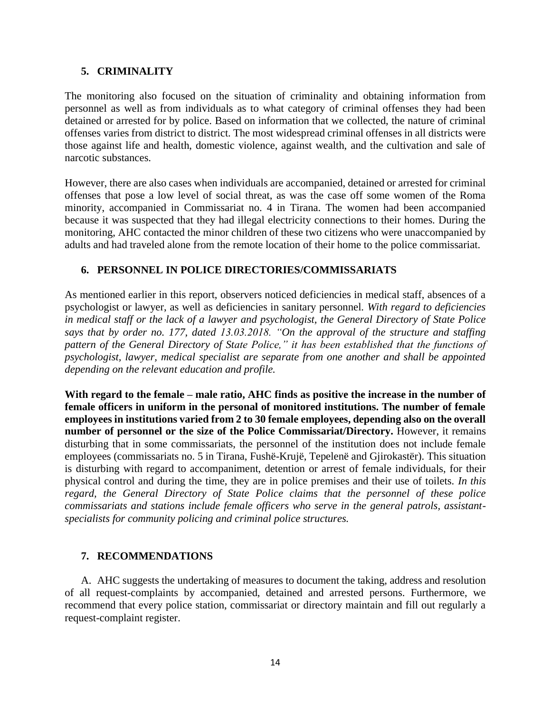#### **5. CRIMINALITY**

The monitoring also focused on the situation of criminality and obtaining information from personnel as well as from individuals as to what category of criminal offenses they had been detained or arrested for by police. Based on information that we collected, the nature of criminal offenses varies from district to district. The most widespread criminal offenses in all districts were those against life and health, domestic violence, against wealth, and the cultivation and sale of narcotic substances.

However, there are also cases when individuals are accompanied, detained or arrested for criminal offenses that pose a low level of social threat, as was the case off some women of the Roma minority, accompanied in Commissariat no. 4 in Tirana. The women had been accompanied because it was suspected that they had illegal electricity connections to their homes. During the monitoring, AHC contacted the minor children of these two citizens who were unaccompanied by adults and had traveled alone from the remote location of their home to the police commissariat.

#### **6. PERSONNEL IN POLICE DIRECTORIES/COMMISSARIATS**

As mentioned earlier in this report, observers noticed deficiencies in medical staff, absences of a psychologist or lawyer, as well as deficiencies in sanitary personnel. *With regard to deficiencies in medical staff or the lack of a lawyer and psychologist, the General Directory of State Police says that by order no. 177, dated 13.03.2018. "On the approval of the structure and staffing pattern of the General Directory of State Police," it has been established that the functions of psychologist, lawyer, medical specialist are separate from one another and shall be appointed depending on the relevant education and profile.*

**With regard to the female – male ratio, AHC finds as positive the increase in the number of female officers in uniform in the personal of monitored institutions. The number of female employees in institutions varied from 2 to 30 female employees, depending also on the overall number of personnel or the size of the Police Commissariat/Directory.** However, it remains disturbing that in some commissariats, the personnel of the institution does not include female employees (commissariats no. 5 in Tirana, Fushë-Krujë, Tepelenë and Gjirokastër). This situation is disturbing with regard to accompaniment, detention or arrest of female individuals, for their physical control and during the time, they are in police premises and their use of toilets. *In this regard, the General Directory of State Police claims that the personnel of these police commissariats and stations include female officers who serve in the general patrols, assistantspecialists for community policing and criminal police structures.*

#### **7. RECOMMENDATIONS**

A. AHC suggests the undertaking of measures to document the taking, address and resolution of all request-complaints by accompanied, detained and arrested persons. Furthermore, we recommend that every police station, commissariat or directory maintain and fill out regularly a request-complaint register.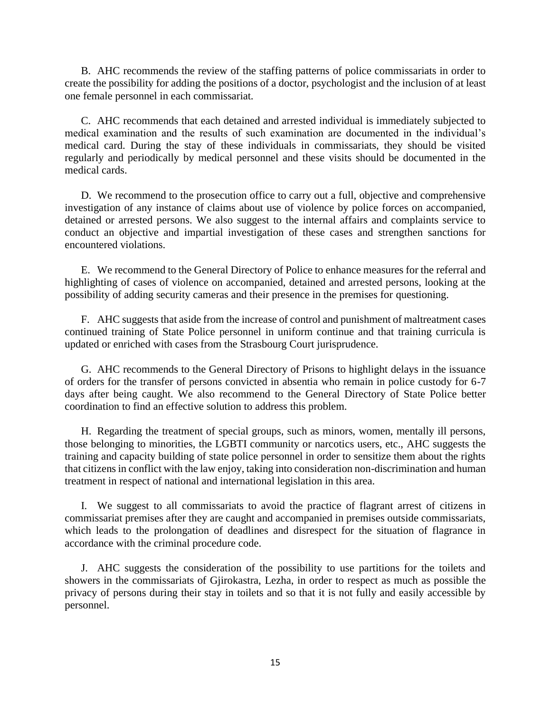B. AHC recommends the review of the staffing patterns of police commissariats in order to create the possibility for adding the positions of a doctor, psychologist and the inclusion of at least one female personnel in each commissariat.

C. AHC recommends that each detained and arrested individual is immediately subjected to medical examination and the results of such examination are documented in the individual's medical card. During the stay of these individuals in commissariats, they should be visited regularly and periodically by medical personnel and these visits should be documented in the medical cards.

D. We recommend to the prosecution office to carry out a full, objective and comprehensive investigation of any instance of claims about use of violence by police forces on accompanied, detained or arrested persons. We also suggest to the internal affairs and complaints service to conduct an objective and impartial investigation of these cases and strengthen sanctions for encountered violations.

E. We recommend to the General Directory of Police to enhance measures for the referral and highlighting of cases of violence on accompanied, detained and arrested persons, looking at the possibility of adding security cameras and their presence in the premises for questioning.

F. AHC suggests that aside from the increase of control and punishment of maltreatment cases continued training of State Police personnel in uniform continue and that training curricula is updated or enriched with cases from the Strasbourg Court jurisprudence.

G. AHC recommends to the General Directory of Prisons to highlight delays in the issuance of orders for the transfer of persons convicted in absentia who remain in police custody for 6-7 days after being caught. We also recommend to the General Directory of State Police better coordination to find an effective solution to address this problem.

H. Regarding the treatment of special groups, such as minors, women, mentally ill persons, those belonging to minorities, the LGBTI community or narcotics users, etc., AHC suggests the training and capacity building of state police personnel in order to sensitize them about the rights that citizens in conflict with the law enjoy, taking into consideration non-discrimination and human treatment in respect of national and international legislation in this area.

I. We suggest to all commissariats to avoid the practice of flagrant arrest of citizens in commissariat premises after they are caught and accompanied in premises outside commissariats, which leads to the prolongation of deadlines and disrespect for the situation of flagrance in accordance with the criminal procedure code.

J. AHC suggests the consideration of the possibility to use partitions for the toilets and showers in the commissariats of Gjirokastra, Lezha, in order to respect as much as possible the privacy of persons during their stay in toilets and so that it is not fully and easily accessible by personnel.